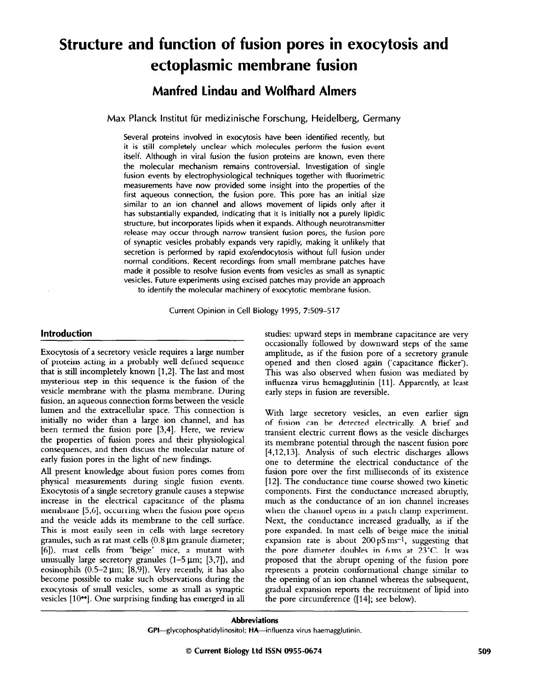# **Structure and function of fusion pores in exocytosis and ectoplasmic membrane fusion**

## **Manfred Lindau and Wolfhard Almers**

**Max Planck lnstitut fiir medizinische Forschung, Heidelberg, Germany** 

**Several proteins involved in exocytosis have been identified recently, but it is still completely unclear which molecules perform the fusion event itself. Although in viral fusion the fusion proteins are known, even there the molecular mechanism remains controversial. Investigation of single fusion events by electrophysiological techniques together with fluorimetric measurements have now provided some insight into the properties of the first aqueous connection, the fusion pore. This pore has an initial size similar to an ion channel and allows movement of lipids only after it has substantially expanded, indicating that it is initially not a purely lipidic structure, but incorporates lipids when it expands. Although neurotransmitter release may occur through narrow transient fusion pores, the fusion pore of synaptic vesicles probably expands very rapidly, making it unlikely that secretion is performed by rapid exo/endocytosis without full fusion under normal conditions. Recent recordings from small membrane patches have made it possible to resolve fusion events from vesicles as small as synaptic vesicles. Future experiments using excised patches may provide an approach to identify the molecular machinery of exocytotic membrane fusion.** 

**Current Opinion in Cell Biology 1995, 7:509-517** 

## **Introduction**

Exocytosis of a secretory vesicle requires a large number of proteins acting in a probably well defined sequence that is still incompletely known [1,2]. The last and most mysterious step in this sequence is the fusion of the vesicle membrane with the plasma membrane. During fusion, an aqueous connection forms between the vesicle lumen and the extracellular space. This connection is initially no wider than a large ion channel, and has been termed the fusion pore [3,4]. Here, we review the properties of fusion pores and their physiological consequences, and then discuss the molecular nature of early fusion pores in the light of new findings.

All present knowledge about fusion pores comes from physical measurements during single fusion events. Exocytosis of a single secretory granule causes a stepwise increase in the electrical capacitance of the plasma membrane [5,6], occurring when the fusion pore opens and the vesicle adds its membrane to the cell surface. This is most easily seen in cells with large secretory granules, such as rat mast cells  $(0.8 \,\mu m)$  granule diameter; [6]), mast cells from 'beige' mice, a mutant with unusually large secretory granules  $(1-5 \mu m; [3,7])$ , and eosinophils  $(0.5-2 \mu m; [8,9])$ . Very recently, it has also become possible to make such observations during the exocytosis of small vesicles, some as small as synaptic vesicles [10<sup>••</sup>]. One surprising finding has emerged in all

studies: upward steps in membrane capacitance are very occasionally followed by downward steps of the same amplitude, as if the fusion pore of a secretory granule opened and then closed again ('capacitance flicker'). This was also observed when fusion was mediated by influenza virus hemagglutinin [11]. Apparently, at least early steps in fusion are reversible.

With large secretory vesicles, an even earlier sign of fusion can be detected electrically A brief and transient electric current flows as the vesicle discharges its membrane potential through the nascent fusion pore [4,12,13]. Analysis of such electric discharges allows one to determine the electrical conductance of the fusion pore over the first milliseconds of its existence [12]. The conductance time course showed two kinetic components. First the conductance increased abruptly, much as the conductance of an ion channel increases when the channel opens in a patch clamp experiment. Next, the conductance increased gradually, as if the pore expanded. In mast cells of beige mice the initial expansion rate is about  $200~\text{pS}\,\text{ms}^{-1}$ , suggesting that the pore diameter doubles in 6ms at 23°C. It was proposed that the abrupt opening of the fusion pore represents a protein conformational change similar to the opening of an ion channel whereas the subsequent, gradual expansion reports the recruitment of lipid into the pore circumference ([14]; see below).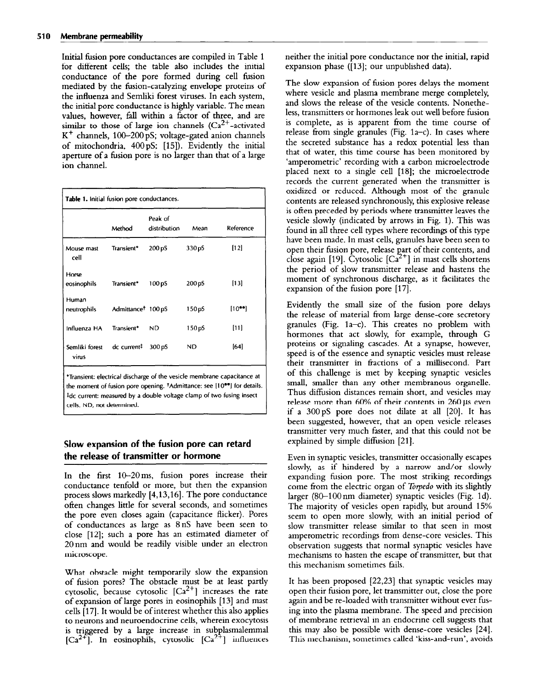Initial fusion pore conductances are compiled in Table 1 for different cells; the table also includes the initial conductance of the pore formed during cell fusion mediated by the fusion-catalyzing envelope proteins of the influenza and Semliki forest viruses. In each system, the initial pore conductance is highly variable. The mean values, however, fill within a factor of three, and are similar to those of large ion channels  $(Ca^{2+}-$ activated  $K^+$  channels, 100-200 pS; voltage-gated anion channels of mitochondria, 400 pS; [15]). Evidently the initial aperture of a fusion pore is no larger than that of a large ion channel.

|                                     | Method                         | Peak of<br>distribution | Mean               | Reference      |
|-------------------------------------|--------------------------------|-------------------------|--------------------|----------------|
| Mouse mast<br>cell                  | Transient*                     | 200 pS                  | 330pS              | [12]           |
| Horse<br>eosinophils                | Transient*                     | 100 pS                  | 200 <sub>p</sub> S | $[13]$         |
| Human<br>neutrophils                | Admittance <sup>†</sup> 100 pS |                         | 150 <sub>p5</sub>  | $[10^{\circ}]$ |
| Influenza HA                        | Transient*                     | ND.                     | 150 <sub>p</sub> S | [11]           |
| Semliki forest dc current#<br>virus |                                | 300 pS                  | <b>ND</b>          | [64]           |

## **Slow expansion of the fusion pore can retard the release of transmitter or hormone**

**cells. ND, not determined.** 

In the first  $10-20$  ms, fusion pores increase their conductance tenfold or more, but then the expansion process slows markedly [4,13,16]. The pore conductance ofien changes little for several seconds, and sometimes the pore even closes again (capacitance flicker). Pores of conductances as large as 8nS have been seen to close [12]; such a pore has an estimated diameter of 20nm and would be readily visible under an electron microscope.

What obstacle might temporarily slow the expansion of fusion pores? The obstacle must be at least partly cytosolic, because cytosolic  $[Ca^{2+}]$  increases the rate of expansion of large pores in eosinophils [13] and mast cells [17]. It would be of interest whether this also applies to neurons and neuroendocrine cells, wherein exocytosis is triggered by a large increase in subplasmalemmal  $[Ca^{2+}]$ . In eosinophils, cytosolic  $[Ca^{2+}]$  influences neither the initial pore conductance nor the initial, rapid expansion phase ([13]; our unpublished data).

The slow expansion of fusion pores delays the moment where vesicle and plasma membrane merge completely, and slows the release of the vesicle contents. Nonetheless, transmitters or hormones leak out well before fusion is complete, as is apparent from the time course of release from single granules (Fig.  $1a-c$ ). In cases where the secreted substance has a redox potential less than that of water, this time course has been monitored by 'amperometric' recording with a carbon microelectrode placed next to a single cell [18]; the microelectrode records the current generated when the transmitter is oxidized or reduced. Although most of the granule contents are released synchronously, this explosive release is ofien preceded by periods where transmitter leaves the vesicle slowly (indicated by arrows in Fig. 1). This was found in all three cell types where recordings of this type have been made. In mast cells, granules have been seen to open their fusion pore, release part of their contents, and close again [19]. Cytosolic [Ca<sup>2+</sup>] in mast cells shorten the period of slow transmitter release and hastens the moment of synchronous discharge, as it facilitates the expansion of the fusion pore [17].

Evidently the small size of the fusion pore delays the release of material from large dense-core secretory granules (Fig. la-c). This creates no problem with hormones that act slowly, for example, through G proteins or signaling cascades. At a synapse, however, speed is of the essence and synaptic vesicles must release their transmitter in fractions of a millisecond. Part of this challenge is met by keeping synaptic vesicles small, smaller than any other membranous organelle. Thus diffusion distances remain short, and vesicles may release more than  $60\%$  of their contents in  $260 \,\mu s$  even if a  $300~\text{pS}$  pore does not dilate at all  $[20]$ . It has been suggested, however, that an open vesicle releases transmitter very much faster, and that this could not be explained by simple diffusion [21].

Even in synaptic vesicles, transmitter occasionally escapes slowly, as if hindered by a narrow and/or slowly expanding fusion pore. The most striking recordings come from the electric organ of *Torpedo* with its slightly larger (80-100nm diameter) synaptic vesicles (Fig. Id). The majority of vesicles open rapidly, but around 15% seem to open more slowly, with an initial period of slow transmitter release similar to that seen in most amperometric recordings from dense-core vesicles. This observation suggests that normal synaptic vesicles have mechanisms to hasten the escape of transmitter, but that this mechanism sometimes fails.

It has been proposed [22,23] that synaptic vesicles may open their fusion pore, let transmitter out, close the pore again and be re-loaded with transmitter without ever fusing into the plasma membrane. The speed and precision of membrane retrieval in an endocrine cell suggests that this may also be possible with dense-core vesicles [24]. This mechanism, sometimes called 'kiss-and-run', avoids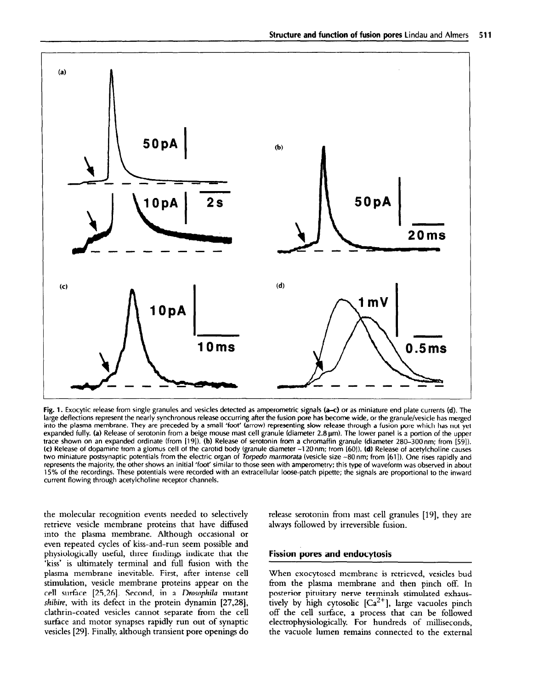

Fig. 1. **Exocytic release from single granules and vesicles detected as amperometric signals (a-c) or as miniature end plate currents (d). The large deflections represent the nearly synchronous release occurring after the fusion pore has become wide, or the granule/vesicle has merged into the plasma membrane. They are preceded by a small 'foot' (arrow) representing slow release through a fusion pore which has not yet expanded fully.** (a) **Release of serotonin from a beige mouse mast cell granule (diameter 2.8 pm). The lower panel is a portion of the upper trace shown on an expanded ordinate (from [19]). (b) Release of serotonin from a chromaffin granule (diameter 280-300nm; from [SS]). (c) Release of dopamine from a glomus cell of the carotid body (granule diameter -120** nm; from **[601). (d) Release of acetylcholine causes two miniature postsynaptic potentials from the electric organ of Torpedo marmorata (vesicle size -80 nm; from [61 I). One rises rapidly and represents the majority, the other shows an initial 'foot' similar to those seen with amperometry; this type of waveform was observed in about 15% of the recordings. These potentials were recorded with an extracellular loose-patch pipette; the signals are proportional to the inward current flowing through acetylcholine receptor channels.** 

the molecular recognition events needed to selectively retrieve vesicle membrane proteins that have diffused into the plasma membrane. Although occasional or even repeated cycles of kiss-and-run seem possible and physiologically useful, three findings indicate that the 'kiss' is ultimately terminal and full fusion with the plasma membrane inevitable. First, after intense cell stimulation, vesicle membrane proteins appear on the cell surface [25,26]. Second, in a Drosophila mutant shibire, with its defect in the protein dynamin [27,28], clathrin-coated vesicles cannot separate from the cell surface and motor synapses rapidly run out of synaptic vesicles [29]. Finally, although transient pore openings do release serotonin from mast cell granules [19], they are always followed by irreversible fusion.

## **Fission pores and endocytosis**

When exocytosed membrane is retrieved, vesicles bud from the plasma membrane and then pinch off. In posterior pituitary nerve terminals stimulated exhaustively by high cytosolic  $[Ca^{2+}]$ , large vacuoles pinch off the cell surface, a process that can be followed electrophysiologically. For hundreds of milliseconds, the vacuole lumen remains connected to the external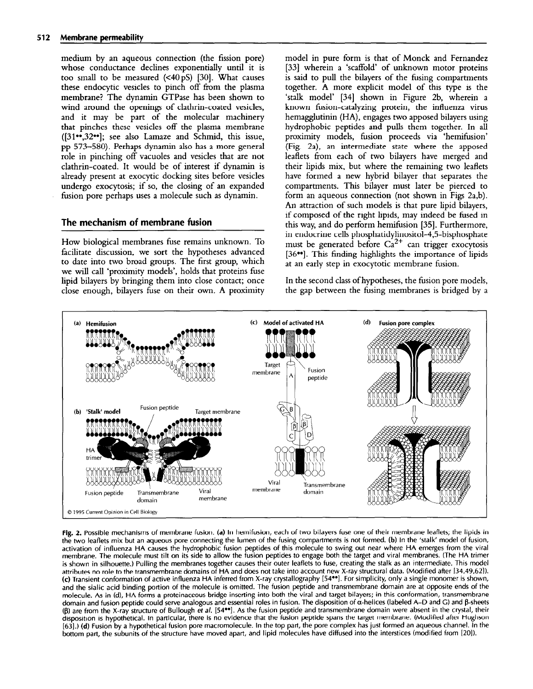medium by an aqueous connection (the fission pore) whose conductance declines exponentially until it is too small to be measured  $( $40~\text{pS}$ )$  [30]. What causes these endocytic vesicles to pinch off from the plasma membrane? The dynamin GTPase has been shown to wind around the openings of clathrin-coated vesicles, and it may be part of the molecular machinery that pinches these vesicles off the plasma membrane  $([31\bullet, 32\bullet])$ ; see also Lamaze and Schmid, this issue, pp 573-580). Perhaps dynamin also has a more general role in pinching off vacuoles and vesicles that are not clathrin-coated. It would be of interest if dynamin is already present at exocytic docking sites before vesicles undergo exocytosis; if so, the closing of an expanded fusion pore perhaps uses a molecule such as dynamin.

## **The mechanism of membrane fusion**

How biological membranes fuse remains unknown. To facilitate discussion, we sort the hypotheses advanced to date into two broad groups. The first group, which we will call 'proximity models', holds that proteins fuse lipid bilayers by bringing them into close contact; once close enough, bilayers fuse on their own. A proximity model in pure form is that of Monck and Fernandez [33] wherein a 'scaffold' of unknown motor proteins is said to pull the bilayers of the fusing compartments together. A more explicit model of this type is the 'stalk model' [34] shown in Figure 2b, wherein a known fusion-catalyzing protein, the influenza virus hemagglutinin (HA), engages two apposed bilayers using hydrophobic peptides and pulls them together. In all proximity models, fusion proceeds via 'hemifusion' (Fig. 2a), an intermediate state where the apposed leaflets from each of two bilayers have merged and their lipids mix, but where the remaining two leaflets have formed a new hybrid bilayer that separates the compartments. This bilayer must later be pierced to form an aqueous connection (not shown in Figs 2a,b). An attraction of such models is that pure lipid bilayers, if composed of the right lipids, may indeed be fused in this way, and do perform hemifusion [35]. Furthermore, in endocrine cells phosphatidylinositol-4,5-bispho must be generated before  $Ca^{2+}$  can trigger exocytosi [36\*\*]. This finding highlights the importance of lipids at an early step in exocytotic membrane fusion.

In the second class of hypotheses, the fusion pore models, the gap between the fusing membranes is bridged by a



**Fig. 2. Possible mechanisms of membrane fusion. (a) In hemifusion, each of two bilayers fuse one of their membrane leaflets; the lipids in the two leaflets mix but an aqueous pore connecting the lumen of the fusing compartments is not formed. (b) In the 'stalk' model of fusion, activation of influenza HA causes the hydrophobic fusion peptides of this molecule to swing out near where HA emerges from the viral membrane. The molecule must tilt on its side to allow the fusion peptides to engage both the target and viral membranes. (The HA trimer is shown in silhouette.) Pulling the membranes together causes their outer leaflets to fuse, creating the stalk as an intermediate. This model attributes no role to the transmembrane domains of HA and does not take into account new X-ray structural data. (Modified after [34,49,62]). (c) Transient conformation of active influenza HA inferred from X-ray crystallography [54\*\*]. For simplicity, only a single monomer is shown,**  and the sialic acid binding portion of the molecule is omitted. The fusion peptide and transmembrane domain are at opposite ends of the **molecule. As in (d), HA forms a proteinaceous bridge inserting into both the viral and target bilayers; in this conformation, transmembrane**  domain and fusion peptide could serve analogous and essential roles in fusion. The disposition of α-helices (labeled A-D and G) and β-sheets **(g) are from the X-ray structure of Bullough** *et* **a/. [54\*\*]. As the fusion peptide and transmembrane domain were absent in the crystal, their disposition is hypothetical. In particular, there is no evidence that the fusion peptide spans the target membrane. (Modified after Hughson [63].) (d) Fusion by a hypothetical fusion pore macromolecule. In the top part, the pore complex has just formed an aqueous channel. In the bottom part, the subunits of the structure have moved apart, and lipid molecules have diffused into the interstices (modified from [20]).**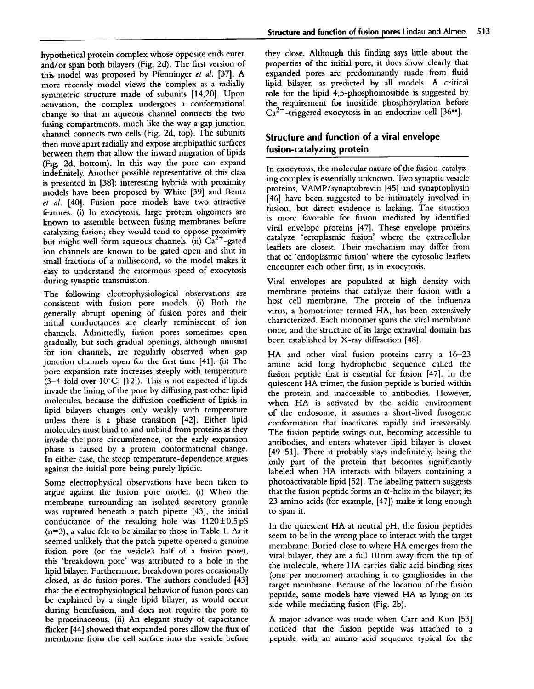hypothetical protein complex whose opposite ends enter and/or span both bilayers (Fig. 2d). The first version of this model was proposed by Pfenninger er al. [37]. A more recently model views the complex as a radially symmetric structure made of subunits [14,20]. Upon activation, the complex undergoes a conformational change so that an aqueous channel connects the two fusing compartments, much like the way a gap junction channel connects two cells (Fig. 2d, top). The subunits then move apart radially and expose amphipathic surfaces between them that allow the inward migration of lipids (Fig. 2d, bottom). In this way the pore can expand indefinitely. Another possible representative of this class is presented in [38]; interesting hybrids with proximity models have been proposed by White [39] and Bentz et al. [40]. Fusion pore models have two attractive features. (i) In exocytosis, large protein oligomers are known to assemble between fusing membranes before catalyzing fusion; they would tend to oppose proximity but might well form aqueous channels. (ii)  $Ca^{2+}$ -gated ion channels are known to be gated open and shut in small fractions of a millisecond, so the model makes it easy to understand the enormous speed of exocytosis during synaptic transmission.

The following electrophysiological observations are consistent with fusion pore models. (i) Both the generally abrupt opening of fusion pores and their initial conductances are clearly reminiscent of ion channels. Admittedly, fusion pores sometimes open gradually, but such gradual openings, although unusual for ion channels, are regularly observed when gap junction channels open for the first time [41]. (ii) The pore expansion rate increases steeply with temperature  $(3-4$ -fold over 10°C; [12]). This is not expected if lipids invade the lining of the pore by diffusing past other lipid molecules, because the diffusion coefficient of lipids in lipid bilayers changes only weakly with temperature unless there is a phase transition [42]. Either lipid molecules must bind to and unbind from proteins as they invade the pore circumference, or the early expansion phase is caused by a protein conformational change. In either case, the steep temperature-dependence argues against the initial pore being purely lipidic.

Some electrophysical observations have been taken to argue against the fusion pore model. (i) When the membrane surrounding an isolated secretory granule was ruptured beneath a patch pipette [43], the initial conductance of the resulting hole was  $1120 \pm 0.5 \text{ pS}$  $(n=3)$ , a value felt to be similar to those in Table 1. As it seemed unlikely that the patch pipette opened a genuine fusion pore (or the vesicle's half of a fusion pore), this 'breakdown pore' was attributed to a hole in the lipid bilayer. Furthermore, breakdown pores occasionally closed, as do fusion pores. The authors concluded [43] that the electrophysiological behavior of fusion pores can be explained by a single lipid bilayer, as would occur during hemifusion, and does not require the pore to be proteinaceous. (ii) An elegant study of capacitance flicker [44] showed that expanded pores allow the flux of membrane from the cell surface into the vesicle before

they close. Although this finding says little about the properties of the initial pore, it does show clearly that expanded pores are predominantly made from fluid lipid bilayer, as predicted by all models. A critical role for the lipid 4,5-phosphoinositide is suggested by the requirement for inositide phosphorylation before  $Ca^{2+}$ -triggered exocytosis in an endocrine cell [36<sup> $\bullet\bullet$ </sup>].

## **Structure and function of a viral envelope fusion-catalyzing protein**

In exocytosis, the molecular nature of the fusion-catalyzing complex is essentially unknown. Two synaptic vesicle proteins, VAMP/synaptobrevin [45] and synaptophysin [46] have been suggested to be intimately involved in fusion, but direct evidence is lacking. The situation is more favorable for fusion mediated by identified viral envelope proteins [47]. These envelope proteins catalyze 'ectoplasmic fusion' where the extracellular leaflets are closest. Their mechanism may differ from that of 'endoplasmic fusion' where the cytosolic leaflets encounter each other first, as in exocytosis.

Viral envelopes are populated at high density with membrane proteins that catalyze their fusion with a host cell membrane. The protein of the influenza virus, a homotrimer termed HA, has been extensively characterized. Each monomer spans the viral membrane once, and the structure of its large extraviral domain has been established by X-ray diffraction [48].

HA and other viral fusion proteins carry a  $16-23$ amino acid long hydrophobic sequence called the fusion peptide that is essential for fusion [47]. In the quiescent HA trimer, the fusion peptide is buried within the protein and inaccessible to antibodies. However, when HA is activated by the acidic environment of the endosome, it assumes a short-lived fusogenic conformation that inactivates rapidly and irreversibly. The fusion peptide swings out, becoming accessible to antibodies, and enters whatever lipid bilayer is closest [49-511. There it probably stays indefinitely, being the only part of the protein that becomes significantly labeled when HA interacts with bilayers containing a photoactivatable lipid [52]. The labeling pattern suggests that the fusion peptide forms an  $\alpha$ -helix in the bilayer; its 23 amino acids (for example, [47]) make it long enough to span it.

In the quiescent HA at neutral pH, the fusion peptides seem to be in the wrong place to interact with the target membrane. Buried close to where HA emerges from the viral bilayer, they are a full  $10 \text{ nm}$  away from the tip of the molecule, where HA carries sialic acid binding sites (one per monomer) attaching it to gangliosides in the target membrane. Because of the location of the fusion peptide, some models have viewed HA as lying on its side while mediating fusion (Fig. 2b).

A major advance was made when Carr and Kim [53] noticed that the fusion peptide was attached to a peptide with an amino acid sequence typical for the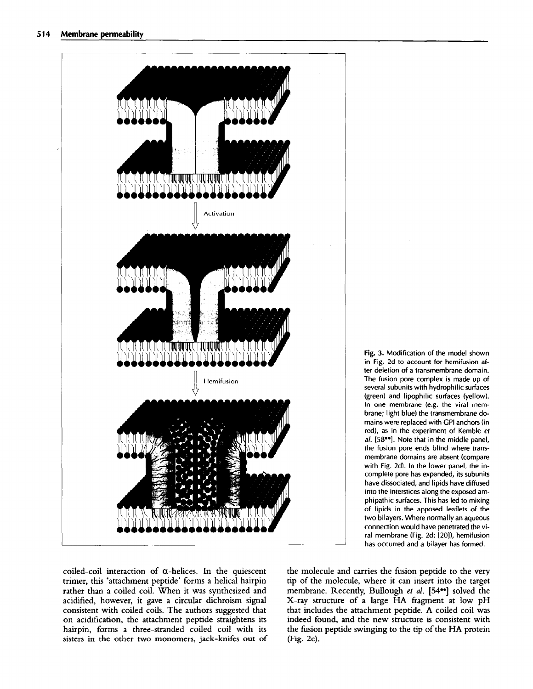

Fig. 3. Modification of the model shown in Fig. 2d to account for hemifusion after deletion of a transmembrane domain. The fusion pore complex is made up of several subunits with hydrophilic surfaces (green) and lipophilic surfaces (yellow). In one membrane (e.g. the viral membrane; light blue) the transmembrane domains were replaced with GPI anchors fin red), as in the experiment of Kemble et al. [58<sup>••</sup>]. Note that in the middle panel, the fusion pore ends blind where transmembrane domains are absent (compare with Fig. 2d). In the lower panel, the incomplete pore has expanded, its subunits have dissociated, and lipids have diffused into the interstices along the exposed amphipathic surfaces. This has led to mixing of lipids in the apposed leaflets of the two bilayers. Where normally an aqueous connection would have penetrated the viral membrane (Fig. 2d; [20]), hemifusion has occurred and a bilayer has formed.

coiled-coil interaction of  $\alpha$ -helices. In the quiescent trimer, this 'attachment peptide' forms a helical hairpin rather than a coiled coil. When it was synthesized and acidified, however, it gave a circular dichroism signal consistent with coiled coils. The authors suggested that on acidification, the attachment peptide straightens its hairpin, forms a three-stranded coiled coil with its sisters in the other two monomers, jack-knifes out of the molecule and carries the fusion peptide to the very tip of the molecule, where it can insert into the target membrane. Recently, Bullough et al. [54<sup>••</sup>] solved the X-ray structure of a large HA fragment at low pH that includes the attachment peptide. A coiled coil was indeed found, and the new structure is consistent with the fusion peptide swinging to the tip of the HA protein  $(Fig. 2c)$ .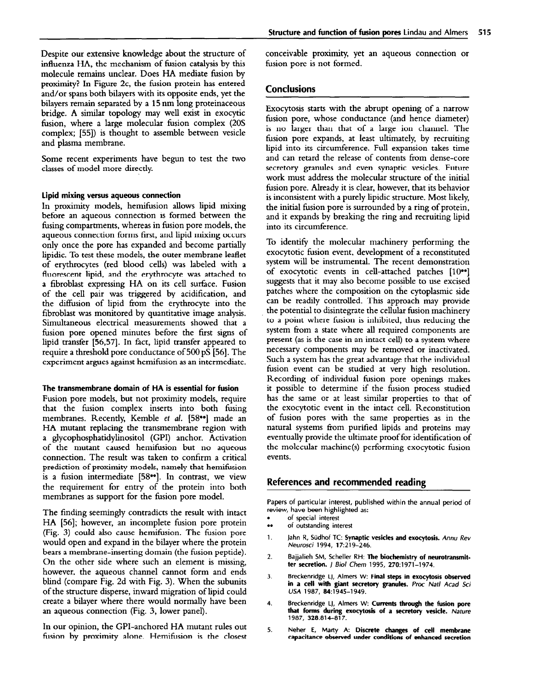Despite our extensive knowledge about the structure of influenza HA, the mechanism of fusion catalysis by this molecule remains unclear. Does HA mediate fusion by proximity? In Figure 2c, the fusion protein has entered and/or spans both bilayers with its opposite ends, yet the bilayers remain separated by a 15 nm long proteinaceous bridge. A similar topology may well exist in exocytic fusion, where a large molecular fusion complex (20s complex; [55]) is thought to assemble between vesicle and plasma membrane.

Some recent experiments have begun to test the two classes of model more directly.

### **lipid mixing versus aqueous connection**

In proximity models, hemifusion allows lipid mixing before an aqueous connection is formed between the fusing compartments, whereas in fusion pore models, the aqueous connection forms first, and lipid mixing occurs only once the pore has expanded and become partially lipidic. To test these models, the outer membrane leaflet of erythrocytes (red blood cells) was labeled with a fluorescent lipid, and the erythrocyte was attached to a fibroblast expressing HA on its cell surface. Fusion of the cell pair was triggered by acidification, and the diffusion of lipid from the erythrocyte into the fibroblast was monitored by quantitative image analysis. Simultaneous electrical measurements showed that a fusion pore opened minutes before the first signs of lipid transfer [56,57]. In fact, lipid transfer appeared to require a threshold pore conductance of 500 pS [56]. The experiment argues against hemifusion as an intermediate.

#### **The transmembrane domain of HA is essential for fusion**

Fusion pore models, but not proximity models, require that the fusion complex inserts into both fusing membranes. Recently, Kemble et al. [58<sup>••</sup>] made an HA mutant replacing the transmembrane region with a glycophosphatidylinositol (GPI) anchor. Activation of the mutant caused hemifusion but no aqueous connection. The result was taken to confirm a critical prediction of proximity models, namely that hemifusion is a fusion intermediate [58\*\*]. In contrast, we view the requirement for entry of the protein into both membranes as support for the fusion pore model.

The finding seemingly contradicts the result with intact HA [56]; however, an incomplete fusion pore protein (Fig. 3) could also cause hemifusion. The fusion pore would open and expand in the bilayer where the protein bears a membrane-inserting domain (the fusion peptide). On the other side where such an element is missing, however, the aqueous channel cannot form and ends blind (compare Fig. 2d with Fig. 3). When the subunits of the structure disperse, inward migration of lipid could create a bilayer where there would normally have been an aqueous connection (Fig. 3, lower panel).

In our opinion, the GPI-anchored HA mutant rules out fusion by proximity alone. Hemifusion is the closest

conceivable proximity, yet an aqueous connection or fusion pore is not formed.

## **Conclusions**

Exocytosis starts with the abrupt opening of a narrow fusion pore, whose conductance (and hence diameter) is no larger than that of a large ion channel. The fusion pore expands, at least ultimately, by recruiting lipid into its circumference. Full expansion takes time and can retard the release of contents from dense-core secretory granules and even synaptic vesicles. Future work must address the molecular structure of the initial fusion pore. Already it is clear, however, that its behavior is inconsistent with a purely lipidic structure. Most likely, the initial fusion pore is surrounded by a ring of protein, and it expands by breaking the ring and recruiting lipid into its circumference.

To identify the molecular machinery performing the exocytotic fusion event, development of a reconstituted system will be instrumental. The recent demonstration of exocytotic events in cell-attached patches [10\*\*] suggests that it may also become possible to use excised patches where the composition on the cytoplasmic side can be readily controlled. This approach may provide the potential to disintegrate the cellular fusion machinery to a point where fusion is inhibited, thus reducing the system from a state where all required components are present (as is the case in an intact cell) to a system where necessary components may be removed or inactivated. Such a system has the great advantage that the individual fusion event can be studied at very high resolution. Recording of individual fusion pore openings makes it possible to determine if the fusion process studied has the same or at least similar properties to that of the exocytotic event in the intact cell. Reconstitution of fusion pores with the same properties as in the natural systems from purified lipids and proteins may eventually provide the ultimate proof for identification of the molecular machine(s) performing exocytotic fusion events.

### **References and recommended reading**

**Papers of particular interest, published within the annual period of review, have been highlighted as:** 

- . . . **of special interest**
- **of outstanding interest**
- **1. Jahn R, Sudhof TC: Synaptic vesicles and exocytosis. Annu Rev Neurosci 1994, 17219-246.**
- **2. Bajjalieh SM, Scheller RH: The biochemistry of neurotransmit**ter secretion. *J Biol Chem* 1995, 270:1971-1974.
- **3. Breckenridge LJ, Almers W: Final steps in exocytosis observed in a cell with giant secretory granules.** *Proc Narl* **Acad Sci USA 1987, 84~1945-1949.**
- **4. Breckenridge LJ, Almers W: Currents through the fusion pore that forms during exocytosis of a secretory vesicle. nature 1987, 328:814-817.**
- **5. Neher E, Marty A: Discrete changes of ceil membrane capacitance observed under conditions of enhanced secretion**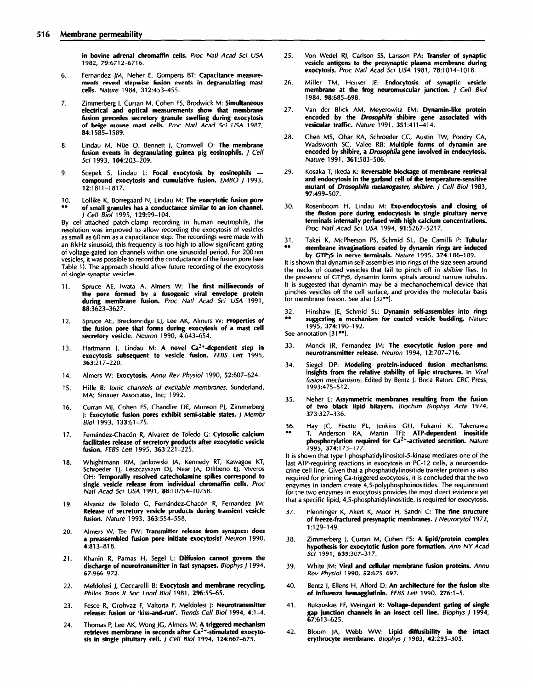**in bovine adrenal chromaffin cells.** Proc Natl Acad Sci USA **1982, 79:6712-6716.** 

- **6. Fernandez JM, Neher E, Gomperts BT: Capacitance measurements reveal stepwise fusion events in degranulating mast cells. Nature 1984, 312:453-455.**
- **7. Zimmerberg J, Curran M, Cohen FS, Brodwick M: Simultaneous electrical and optical measurements show that membrane fusion precedes secretory granule swelling during exocytosis of beige mouse mast cells.** *Proc Nat/ Acad Sci USA* **1987, 84:1585-l 589.**
- **8. Lindau M, Niie 0, Bennett j, Cromwell 0: The membrane fusion events in degranulating guinea pig eosinophils.** *J Cell Sci* **1993, 104:203-209.**
- 9. Scepek S, Lindau L: Focal exocytosis by eosinophils -**compound exocytosis and cumulative fusion.** *EM60 /* **1993, 12:1811-1817.**
- **10. Lollike K, Borregaard N, Lindau M: The exocytotic fusion pore . . of small granules has a conductance similar to an ion channel.**  *Cell Biol 1995, 129:99-104.*

**By cell-attached patch-clamp recording in human neutrophils, the resolution was improved to allow recording the exocytosis of vesicles as small as 60nm as a capacitance step. The recordings were made with an** *B* **kHz sinusoid; this frequency is too high to allow significant gating of voltage-gated ion channels within one sinusoidal period. For 200 nm vesicles, it was possible to record the conductance of the fusion pore (see Table 1). The approach should allow future recording of the exocytosis of single synaptic vesicles.** 

- **11. Spruce AE, lwata A, Almers W: The first milliseconds of the pore formed by a fusogenic viral envelope protein during membrane fusion.** *Proc Nat/* **Acad Sci** *USA* **1991, 88:3623-3627.**
- **12. Spruce AE, Breckenridge LJ, Lee AK, Almers W: Properties of the fusion pore that forms during exocytosis of a mast cell secretory vesicle.** *Neuron* **1990, 4:643-654.**
- **13.**  Hartmann J, Lindau M: A novel Ca<sup>2+</sup>-dependent step in **exocytosis subsequent to vesicle fusion.** *FE& Len* **1995, 363:217-220.**
- **14. Almers W: Exocytosis.** *Am-w Rev Physiol* **1990, 52:607-624.**
- **15. Hille 8:** *ionic channels of excitable* **membranes. Sunderland, MA: Sinauer Associates, Inc; 1992.**
- **16. Curran MJ, Cohen FS, Chandler DE, Munson PJ, Zimmerberg J: Exocytotic fusion pores exhibit semi-stable states. I** *Membr Biol* **1993, 133:61-75.**
- **17.**  Fernández-Chacón R, Alvarez de Toledo G: Cytosolic calcium **facilitates release of secretory products after exocytotic vesicle fusion.** *FEBS Lett* **1995, 363:221-225.**
- **18. Whightmann RM, Jankowski IA, Kennedy RT, Kawagoe KT, Schroeder TJ, Leszczyszyn DJ, Near JA, Diliberto EJ, Viveros OH: Temporally resolved catecholamine spikes correspond to**  single vesicle release from individual chromaffin cells. Proc **Natl Acad Sci USA 1991, 88:10754-10758.**
- **19.**  Alvarez de Toledo G, Fernández-Chacón R, Fernandez JM: **Release of secretory vesicle products during transient vesicle fusion.** *Nature 1993,* **363:554-558.**
- **20. Almers W, Tse FW: Transmitter release from synapses: does a preassembled fusion pore initiate exocytosis? Neuron 1990, 4:813-818.**
- **21. Khanin R, Parnas H, Segel L: Diffusion cannot govern the discharge of neurotransmitter in fast synapses. 8iophys I 1994, 67:966-972.**
- **22. Meldolesi J, Ceccarelli B: Exocytosis and membrane recycling. Philos Trans** *R Sot* **Land Biol 1981, 2%:55-65.**
- **23. Fesce R, Grohvaz F, Valtorta F, Meldolesi J: Neurotransmitter**  release: fusion or 'kiss-and-run'. Trends Cell Biol 1994, 4:1-4.
- **24. Thomas P, Lee AK, Wong JG, Almers W: A triggered mechanism**  retrieves membrane in seconds after Ca<sup>2+</sup>-stimulated exocyto**sis in single pituitary cell. / Cell** *Bio/* **1994, 124:667-675.**
- **25. Von Wedel RJ, Carlson 55, Larsson PA: Transfer of synaptic**  vesicle antigens to the presynaptic plasma membrane during **exocytosis. Proc Nat/ Acad 5ci USA 1981, 78:1014-1018.**
- **26. Miller TM, Heuser JE: Endocytosis of synaptic vesicle membrane at the frog neuromuscular junction. / Cell** *Biol*  **1984, 98:685-698.**
- **27. Van der Blick AM, Meyerowitz EM: Dynamin-like protein**  encoded by the *Drosophila* shibire gene associated with **vesicular traffic.** *Nature* **1991, 351:411-414.**
- **28. Chen MS, Obar RA, Schroeder CC, Austin TW, Poodry CA,**  Wadsworth SC, Valee RB: Multiple forms of dynamin are encoded by shibire, a *Drosophila* gene involved in endocytosis. *Nature* **1991, 361:583-586.**
- **29. Kosaka T, lkeda K: Reversable blockage of membrane retrieval and endocytosis in the garland cell of the temperature-sensitive mutant of** *Drosophila melanogaster*, shibire. *J Cell Biol* 1983, **97:499-507.**
- **30.**  Rosenboom H, Lindau M: Exo-endocytosis and closing of the fission pore during endocytosis in single pituitary nerve terminals internally perfused with high calcium concentrations. **Proc** *Nail Acad Sci USA* **1994, 91:5267-5217.**
- **31. . . Takei K, McPherson PS, Schmid SL, De Camilli P: Tubular membrane invaginations coated by dynamin rings are induced by GTPy5 in nerve terminals.** *Nature* **1995, 374:186-l 89.**

**If is shown that dynamin self-assembles into rings of the size seen around**<br>It is shown that dynamin self-assembles into rings of the size seen around **the necks of coated vesicles that fail to pinch off in** *shibire* **flies. In**  the presence of GTP<sub>Y</sub>S, dynamin forms spirals around narrow tubules. **It is suggested that dynamin may be a mechanochemical device that pinches vesicles off the cell surface, and provides the molecular basis for membrane fission. See also [32\*\*].** 

*32.* **Hinshaw JE, Schmid SL: Dynamin self-assembles into rings . . suggesting a mechanism for coated vesicle budding.** *Nature*  **1995, 374:190-l 92.** 

**5ee annotation [31\*\*1.** 

- **33. Monck JR, Fernandez JM: The exocytotic fusion pore and neurotransmitter release.** *Neuron* **1994, 12:707-716.**
- **34. Siegel DP: Modeling protein-induced fusion mechanisms: insights from the relative stability of lipic structures. In** *Viral fusion mechanisms.* **Edited by Bentz J. Boca Raton: CRC Press; 1993:475-512.**
- **35. Neher E: Assymmetric membranes resulting from the fusion of two black lipid bilayers.** *Biochim 6iophys Acta* **1974, 373:327-336.**
- **36. Hay JC, Fisette PL, Jenkins CH, Fukami K, Takenawa . . T, Anderson RA, Martin TFJ: ATP.dependent inositide phosphorylation required for Ca\*+-aclivated secretion.** *Nature*  **1995, 374173-l 77.**

**It is shown that type I phosphatidylinositol-5-kinase mediates one of the**  last ATP-requiring reactions in exocytosis in PC-12 cells, a neuroendo**crine cell line. Given that a phosphatidylinositide transfer protein is also required for priming Ca-triggered exocytosis, it is concluded that the two**  enzymes in tandem create 4,5-polyphosphoinositides. The requirement **for the two enzymes in exocytosis provides the most direct evidence yet that a specific lipid, 4,5-phosphatidylinositide, is required for exocytosis.** 

- **37. Pfenninger K, Akert K, Moor H, Sandri C: The fine structure**  of freeze-fractured presynaptic membranes. *J Neurocytol* 1972, **1 :129-l 49.**
- **38. Zimmerberg J, Curran M, Cohen FS: A lipid/protein complex hypothesis for exocytotic fusion pore formation.** *Ann NY Acad Sci* **1991, 635:307-317.**
- **39. White JM: Viral and cellular membrane fusion proteins. Annu**  *Rev Physiol* **1990, 52:675-697.**
- **40. Bentz J, Ellens H, Alford D: An architecture for the fusion site**  of influenza hemagglutinin. *FEBS Lett* 1990, 276:1-5.
- **41. Bukauskas FF, Weingart R: Voltage-dependent gating of single gap junction channels in an insect cell line.** *Siophys /* **1994, 67:613-625.**
- **42.**  Bloom JA, Webb WW: Lipid diffusibility in the intact **erythrocyte membrane.** *Biophys 1* **1983, 42:295-305.**